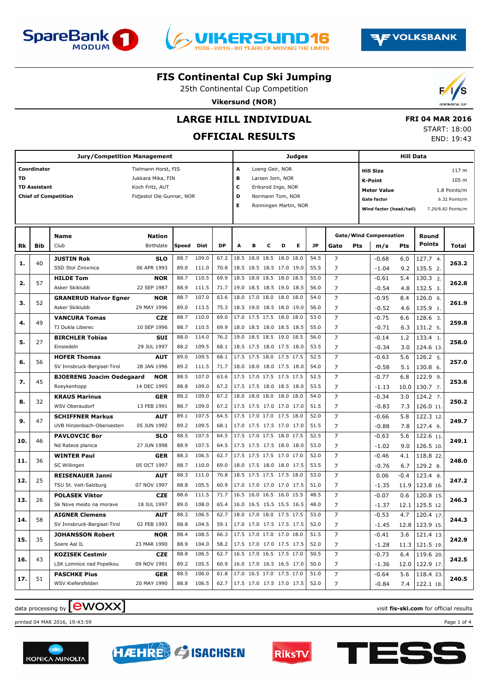





25th Continental Cup Competition

**Vikersund (NOR)**



# **LARGE HILL INDIVIDUAL**

## **OFFICIAL RESULTS**

 **FRI 04 MAR 2016** START: 18:00 END: 19:43

**AF VOLKSBANK** 

|           |                                    | <b>Jury/Competition Management</b>                 |                                                                                          |              |                |                                 |                                                      |   |                                                                               |   | <b>Judges</b>         |              |                                  |     |                                                                                                    | Hill Data  |                      |                                                                       |
|-----------|------------------------------------|----------------------------------------------------|------------------------------------------------------------------------------------------|--------------|----------------|---------------------------------|------------------------------------------------------|---|-------------------------------------------------------------------------------|---|-----------------------|--------------|----------------------------------|-----|----------------------------------------------------------------------------------------------------|------------|----------------------|-----------------------------------------------------------------------|
| <b>TD</b> | Coordinator<br><b>TD Assistant</b> | <b>Chief of Competition</b>                        | Tielmann Horst, FIS<br>Jukkara Mika, FIN<br>Koch Fritz, AUT<br>Fidjestol Ole Gunnar, NOR |              |                |                                 | A<br>в<br>с<br>D<br>Е                                |   | Loeng Geir, NOR<br>Larsen Jorn, NOR<br>Eriksrod Inge, NOR<br>Normann Tom, NOR |   | Ronningen Martin, NOR |              |                                  |     | <b>Hill Size</b><br><b>K-Point</b><br><b>Meter Value</b><br>Gate factor<br>Wind factor (head/tail) |            |                      | 117 m<br>105 m<br>1.8 Points/m<br>6.32 Points/m<br>7.29/8.82 Points/m |
|           |                                    | Name                                               | <b>Nation</b>                                                                            |              |                |                                 |                                                      |   |                                                                               |   |                       |              |                                  |     | <b>Gate/Wind Compensation</b>                                                                      |            | Round                |                                                                       |
| Rk        | Bib                                | Club                                               | Birthdate                                                                                | Speed        | Dist           | <b>DP</b>                       | A                                                    | в | c                                                                             | D | Е                     | <b>JP</b>    | Gate                             | Pts | m/s                                                                                                | <b>Pts</b> | Points               | Total                                                                 |
| 1.        | 40                                 | <b>JUSTIN Rok</b>                                  | <b>SLO</b>                                                                               | 88.7         | 109.0          | 67.2                            |                                                      |   | 18.5 18.0 18.5 18.0 18.0                                                      |   |                       | 54.5         | $\overline{7}$                   |     | $-0.68$                                                                                            | 6.0        | 127.7 4.             | 263.2                                                                 |
|           |                                    | SSD Stol Zirovnica                                 | 06 APR 1993                                                                              | 89.0         | 111.0          | 70.8                            |                                                      |   | 18.5 18.5 18.5 17.0 19.0                                                      |   |                       | 55.5         | $\overline{7}$                   |     | $-1.04$                                                                                            | 9.2        | 135.5 2.             |                                                                       |
| 2.        | 57                                 | <b>HILDE Tom</b>                                   | <b>NOR</b>                                                                               | 88.7         | 110.5          | 69.9                            |                                                      |   | 18.5 18.0 18.5 18.0 18.5                                                      |   |                       | 55.0         | $\overline{7}$                   |     | $-0.61$                                                                                            | 5.4        | 130.3 2.             | 262.8                                                                 |
|           |                                    | Asker Skiklubb                                     | 22 SEP 1987                                                                              | 88.9         | 111.5          | 71.7                            |                                                      |   | 19.0 18.5 18.5 19.0 18.5                                                      |   |                       | 56.0         | $\overline{7}$                   |     | $-0.54$                                                                                            | 4.8        | 132.5 3.             |                                                                       |
| з.        | 52                                 | <b>GRANERUD Halvor Egner</b>                       | NOR                                                                                      | 88.7         | 107.0          | 63.6                            |                                                      |   | 18.0 17.0 18.0 18.0 18.0                                                      |   |                       | 54.0         | $\overline{7}$                   |     | $-0.95$                                                                                            | 8.4        | 126.0 6.             | 261.9                                                                 |
|           |                                    | Asker Skiklubb                                     | 29 MAY 1996                                                                              | 89.0         | 113.5          | 75.3                            |                                                      |   | 18.5 19.0 18.5 18.0 19.0                                                      |   |                       | 56.0         | $\overline{7}$                   |     | $-0.52$                                                                                            | 4.6        | 135.9 1.             |                                                                       |
| 4.        | 49                                 | <b>VANCURA Tomas</b>                               | <b>CZE</b>                                                                               | 88.7         | 110.0          | 69.0                            | 17.0 17.5 17.5 18.0 18.0                             |   |                                                                               |   |                       | 53.0         | $\overline{7}$                   |     | $-0.75$                                                                                            | 6.6        | 128.6 3.             | 259.8                                                                 |
|           |                                    | TJ Dukla Liberec                                   | 10 SEP 1996                                                                              | 88.7         | 110.5          | 69.9                            |                                                      |   | 18.0 18.5 18.0 18.5 18.5                                                      |   |                       | 55.0         | $\overline{7}$                   |     | $-0.71$                                                                                            | 6.3        | 131.2 5.             |                                                                       |
| 5.        | 27                                 | <b>BIRCHLER Tobias</b>                             | <b>SUI</b>                                                                               | 88.0         | 114.0          | 76.2                            | 19.0 18.5 18.5 19.0 18.5                             |   |                                                                               |   |                       | 56.0         | $\overline{7}$                   |     | $-0.14$                                                                                            | 1.2        | 133.4 1.             | 258.0                                                                 |
|           |                                    | Einsiedeln                                         | 29 JUL 1997                                                                              | 88.2         | 109.5<br>109.5 | 68.1                            | 18.5 17.5 18.0 17.5 18.0<br>17.5 17.5 18.0 17.5 17.5 |   |                                                                               |   |                       | 53.5<br>52.5 | $\overline{7}$<br>$\overline{7}$ |     | $-0.34$                                                                                            | 3.0        | 124.6 13.            |                                                                       |
| 6.        | 56                                 | <b>HOFER Thomas</b><br>SV Innsbruck-Bergisel-Tirol | <b>AUT</b><br>28 JAN 1996                                                                | 89.0<br>89.2 | 111.5          | 68.1<br>71.7                    |                                                      |   | 18.0 18.0 18.0 17.5 18.0                                                      |   |                       | 54.0         | $\overline{7}$                   |     | $-0.63$                                                                                            | 5.6        | 126.2 5.             | 257.0                                                                 |
|           |                                    | <b>BJOERENG Joacim Oedegaard</b>                   | NOR                                                                                      | 88.5         | 107.0          | 63.6                            | 17.5 17.0 17.5 17.5 17.5                             |   |                                                                               |   |                       | 52.5         | $\overline{7}$                   |     | $-0.58$<br>$-0.77$                                                                                 | 5.1<br>6.8 | 130.8 6.<br>122.9 9. |                                                                       |
| 7.        | 45                                 | Roeykenhopp                                        | 14 DEC 1995                                                                              | 88.8         | 109.0          | 67.2                            |                                                      |   | 17.5 17.5 18.0 18.5 18.0                                                      |   |                       | 53.5         | $\overline{7}$                   |     | $-1.13$                                                                                            | 10.0       | 130.7, 7.            | 253.6                                                                 |
|           |                                    | <b>KRAUS Marinus</b>                               | <b>GER</b>                                                                               | 88.2         | 109.0          | 67.2                            | 18.0 18.0 18.0 18.0 18.0                             |   |                                                                               |   |                       | 54.0         | $\overline{7}$                   |     | $-0.34$                                                                                            | 3.0        | 124.2 7.             |                                                                       |
| 8.        | 32                                 | WSV Oberaudorf                                     | 13 FEB 1991                                                                              | 88.7         | 109.0          | 67.2                            | 17.5 17.5 17.0 17.0 17.0                             |   |                                                                               |   |                       | 51.5         | $\overline{7}$                   |     | $-0.83$                                                                                            | 7.3        | 126.0 11.            | 250.2                                                                 |
|           |                                    | <b>SCHIFFNER Markus</b>                            | <b>AUT</b>                                                                               | 89.1         | 107.5          | 64.5                            | 17.5 17.0 17.0 17.5 18.0                             |   |                                                                               |   |                       | 52.0         | $\overline{7}$                   |     | $-0.66$                                                                                            | 5.8        | 122.3 12.            |                                                                       |
| 9.        | 47                                 | UVB Hinzenbach-Oberoesterr                         | 05 JUN 1992                                                                              | 89.2         | 109.5          | 68.1                            |                                                      |   | 17.0 17.5 17.5 17.0 17.0                                                      |   |                       | 51.5         | $\overline{7}$                   |     | $-0.88$                                                                                            | 7.8        | 127.4 9.             | 249.7                                                                 |
|           |                                    | <b>PAVLOVCIC Bor</b>                               | <b>SLO</b>                                                                               | 88.5         | 107.5          | 64.5                            | 17.5 17.0 17.5 18.0 17.5                             |   |                                                                               |   |                       | 52.5         | $\overline{7}$                   |     | $-0.63$                                                                                            | 5.6        | 122.6 11.            |                                                                       |
| 10.       | 46                                 | Nd Ratece planica                                  | 27 JUN 1998                                                                              | 88.9         | 107.5          | 64.5                            |                                                      |   | 17.5 17.5 17.5 18.0 18.0                                                      |   |                       | 53.0         | $\overline{7}$                   |     | $-1.02$                                                                                            | 9.0        | 126.5 10.            | 249.1                                                                 |
|           |                                    | <b>WINTER Paul</b>                                 | <b>GER</b>                                                                               | 88.3         | 106.5          | 62.7                            | 17.5 17.5 17.5 17.0 17.0                             |   |                                                                               |   |                       | 52.0         | $\overline{7}$                   |     | $-0.46$                                                                                            | 4.1        | 118.8 22.            |                                                                       |
| 11.       | 36                                 | SC Willingen                                       | 05 OCT 1997                                                                              | 88.7         | 110.0          | 69.0                            |                                                      |   | 18.0 17.5 18.0 18.0 17.5                                                      |   |                       | 53.5         | $\overline{7}$                   |     | $-0.76$                                                                                            | 6.7        | 129.2 8.             | 248.0                                                                 |
|           |                                    | <b>REISENAUER Janni</b>                            | <b>AUT</b>                                                                               | 88.3         | 111.0          | 70.8                            | 18.5 17.5 17.5 17.5 18.0                             |   |                                                                               |   |                       | 53.0         | $\overline{7}$                   |     | 0.06                                                                                               | $-0.4$     | 123.4 8.             |                                                                       |
| 12.       | 25                                 | TSU St. Veit-Salzburg                              | 07 NOV 1997                                                                              | 88.8         | 105.5          | 60.9                            |                                                      |   | 17.0 17.0 17.0 17.0 17.5                                                      |   |                       | 51.0         | $\overline{7}$                   |     | $-1.35$                                                                                            | 11.9       | 123.8 16.            | 247.2                                                                 |
|           | 26                                 | <b>POLASEK Viktor</b>                              | <b>CZE</b>                                                                               | 88.6         | 111.5          | 71.7                            | 16.5 16.0 16.5 16.0 15.5                             |   |                                                                               |   |                       | 48.5         | $\overline{7}$                   |     | $-0.07$                                                                                            | 0.6        | 120.8 15.            | 246.3                                                                 |
| 13.       |                                    | Sk Nove mesto na morave                            | 18 JUL 1997                                                                              | 89.0         | 108.0          | 65.4                            |                                                      |   | 16.0 16.5 15.5 15.5 16.5                                                      |   |                       | 48.0         | 7                                |     | $-1.37$                                                                                            | 12.1       | 125.5 12.            |                                                                       |
| 14.       |                                    | <b>AIGNER Clemens</b>                              | <b>AUT</b>                                                                               | 88.3         | 106.5          | 62.7                            | 18.0 17.0 18.0 17.5 17.5                             |   |                                                                               |   |                       | 53.0         | $\overline{7}$                   |     | $-0.53$                                                                                            | 4.7        | 120.4 17.            |                                                                       |
|           | 58                                 | SV Innsbruck-Bergisel-Tirol                        | 02 FEB 1993                                                                              | 88.8         | 104.5          | 59.1                            | 17.0 17.0 17.5 17.5 17.5                             |   |                                                                               |   |                       | 52.0         | 7                                |     | -1.45                                                                                              |            | 12.8   123.9 15.     | 244.3                                                                 |
| 15.       | 35                                 | <b>JOHANSSON Robert</b>                            | <b>NOR</b>                                                                               | 88.4         | 108.5          | 66.3 17.5 17.0 17.0 17.0 18.0   |                                                      |   |                                                                               |   |                       | 51.5         | 7                                |     | -0.41                                                                                              | 3.6        | 121.4 13.            | 242.9                                                                 |
|           |                                    | Soere Aal IL                                       | 23 MAR 1990                                                                              |              | 88.9 104.0     | 58.2   17.5 17.0 17.0 17.5 17.5 |                                                      |   |                                                                               |   |                       | 52.0         | 7                                |     | $-1.28$                                                                                            |            | $11.3$   121.5 19.   |                                                                       |
| 16.       | 43                                 | <b>KOZISEK Cestmir</b>                             | CZE                                                                                      | 88.8         | 106.5          | 62.7                            | 16.5 17.0 16.5 17.5 17.0                             |   |                                                                               |   |                       | 50.5         | 7                                |     | -0.73                                                                                              | 6.4        | 119.620              | 242.5                                                                 |
|           |                                    | LSK Lomnice nad Popelkou                           | 09 NOV 1991                                                                              |              | 89.2 105.5     | 60.9                            | 16.0 17.0 16.5 16.5 17.0                             |   |                                                                               |   |                       | 50.0         | 7                                |     | -1.36                                                                                              |            | 12.0   122.9 17.     |                                                                       |
| 17.       | 51                                 | <b>PASCHKE Pius</b>                                | <b>GER</b>                                                                               | 88.5         | 106.0          | 61.8                            | 17.0 16.5 17.0 17.5 17.0                             |   |                                                                               |   |                       | 51.0         | $\overline{7}$                   |     | -0.64                                                                                              | 5.6        | 118.423.             | 240.5                                                                 |
|           |                                    | WSV Kiefersfelden                                  | 20 MAY 1990                                                                              | 88.8         | 106.5          | 62.7                            | 17.5 17.0 17.5 17.0 17.5                             |   |                                                                               |   |                       | 52.0         | 7                                |     | $-0.84$                                                                                            |            | 7.4   122.1 18.      |                                                                       |

# data processing by **CWOXX** and  $\blacksquare$  and  $\blacksquare$  and  $\blacksquare$  and  $\blacksquare$  and  $\blacksquare$  and  $\blacksquare$  and  $\blacksquare$  and  $\blacksquare$  and  $\blacksquare$  and  $\blacksquare$  and  $\blacksquare$  and  $\blacksquare$  and  $\blacksquare$  and  $\blacksquare$  and  $\blacksquare$  and  $\blacksquare$  and  $\blacksquare$  and  $\blacks$

printed 04 MAR 2016, 19:43:59 Page 1 of 4







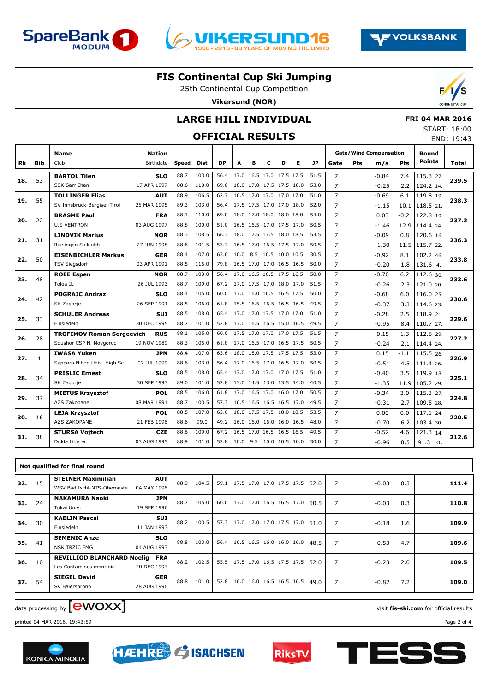





#### **FIS Continental Cup Ski Jumping**

25th Continental Cup Competition

**Vikersund (NOR)**



#### **LARGE HILL INDIVIDUAL**

## **OFFICIAL RESULTS**

|  | <b>FRI 04 MAR 2016</b> |
|--|------------------------|
|  | START: 18:00           |
|  | FND 19.43              |

|     |              |                                  |                            |       |             |           |      |   |                          |   |   |           |                |     |                                      |            |                        | LIVD. 19.43  |
|-----|--------------|----------------------------------|----------------------------|-------|-------------|-----------|------|---|--------------------------|---|---|-----------|----------------|-----|--------------------------------------|------------|------------------------|--------------|
| Rk  | <b>Bib</b>   | <b>Name</b><br>Club              | <b>Nation</b><br>Birthdate | Speed | <b>Dist</b> | <b>DP</b> | A    | в | c                        | D | Е | <b>JP</b> | Gate           | Pts | <b>Gate/Wind Compensation</b><br>m/s | <b>Pts</b> | Round<br><b>Points</b> | <b>Total</b> |
|     |              |                                  |                            |       |             |           |      |   |                          |   |   |           |                |     |                                      |            |                        |              |
| 18. | 53           | <b>BARTOL Tilen</b>              | <b>SLO</b>                 | 88.7  | 103.0       | 56.4      |      |   | 17.0 16.5 17.0 17.5 17.5 |   |   | 51.5      | $\overline{7}$ |     | $-0.84$                              | 7.4        | 115.3 27.              | 239.5        |
|     |              | SSK Sam Ihan                     | 17 APR 1997                | 88.6  | 110.0       | 69.0      |      |   | 18.0 17.0 17.5 17.5 18.0 |   |   | 53.0      | $\overline{7}$ |     | $-0.25$                              | 2.2        | 124.2 14.              |              |
| 19. | 55           | <b>TOLLINGER Elias</b>           | <b>AUT</b>                 | 88.9  | 106.5       | 62.7      |      |   | 16.5 17.0 17.0 17.0 17.0 |   |   | 51.0      | $\overline{7}$ |     | $-0.69$                              | 6.1        | 119.8 19.              | 238.3        |
|     |              | SV Innsbruck-Bergisel-Tirol      | 25 MAR 1995                | 89.3  | 103.0       | 56.4      |      |   | 17.5 17.5 17.0 17.0 18.0 |   |   | 52.0      | $\overline{7}$ |     | $-1.15$                              |            | $10.1$ 118.5 21.       |              |
| 20. | 22           | <b>BRASME Paul</b>               | <b>FRA</b>                 | 88.1  | 110.0       | 69.0      |      |   | 18.0 17.0 18.0 18.0 18.0 |   |   | 54.0      | $\overline{7}$ |     | 0.03                                 | $-0.2$     | 122.8 10.              | 237.2        |
|     |              | <b>U.S VENTRON</b>               | 03 AUG 1997                | 88.8  | 100.0       | 51.0      |      |   | 16.5 16.5 17.0 17.5 17.0 |   |   | 50.5      | $\overline{7}$ |     | $-1.46$                              |            | 12.9 114.4 24.         |              |
|     |              | <b>LINDVIK Marius</b>            | <b>NOR</b>                 | 88.3  | 108.5       | 66.3      |      |   | 18.0 17.5 17.5 18.0 18.5 |   |   | 53.5      | $\overline{7}$ |     | $-0.09$                              | 0.8        | 120.6 16.              |              |
| 21. | 31           | Raelingen Skiklubb               | 27 JUN 1998                | 88.6  | 101.5       | 53.7      |      |   | 16.5 17.0 16.5 17.5 17.0 |   |   | 50.5      | $\overline{7}$ |     | $-1.30$                              |            | 11.5 115.7 22.         | 236.3        |
|     |              | <b>EISENBICHLER Markus</b>       | <b>GER</b>                 | 88.4  | 107.0       | 63.6      | 10.0 |   | 8.5 10.5 10.0 10.5       |   |   | 30.5      | $\overline{7}$ |     | $-0.92$                              | 8.1        | 102.2 46.              |              |
| 22. | 50           | <b>TSV Siegsdorf</b>             | 03 APR 1991                | 88.5  | 116.0       | 79.8      |      |   | 16.5 17.0 17.0 16.5 16.5 |   |   | 50.0      | $\overline{7}$ |     | $-0.20$                              | 1.8        | 131.6 4.               | 233.8        |
|     |              | <b>ROEE Espen</b>                | <b>NOR</b>                 | 88.7  | 103.0       | 56.4      |      |   | 17.0 16.5 16.5 17.5 16.5 |   |   | 50.0      | $\overline{7}$ |     | $-0.70$                              | 6.2        | 112.6 30.              |              |
| 23. | 48           | Tolga IL                         | 26 JUL 1993                | 88.7  | 109.0       | 67.2      |      |   | 17.0 17.5 17.0 18.0 17.0 |   |   | 51.5      | $\overline{7}$ |     | $-0.26$                              | 2.3        | 121.0 20.              | 233.6        |
|     |              | <b>POGRAJC Andraz</b>            | <b>SLO</b>                 | 88.4  | 105.0       | 60.0      |      |   | 17.0 16.0 16.5 16.5 17.5 |   |   | 50.0      | $\overline{7}$ |     | $-0.68$                              | 6.0        | 116.0 25.              |              |
| 24. | 42           | SK Zagorje                       | 26 SEP 1991                | 88.5  | 106.0       | 61.8      |      |   | 15.5 16.5 16.5 16.5 16.5 |   |   | 49.5      | $\overline{7}$ |     | $-0.37$                              | 3.3        | 114.6 23.              | 230.6        |
|     |              | <b>SCHULER Andreas</b>           | <b>SUI</b>                 | 88.5  | 108.0       | 65.4      |      |   | 17.0 17.0 17.5 17.0 17.0 |   |   | 51.0      | $\overline{7}$ |     | $-0.28$                              | 2.5        | 118.9 21.              |              |
| 25. | 33           | Einsiedeln                       | 30 DEC 1995                | 88.7  | 101.0       | 52.8      |      |   | 17.0 16.5 16.5 15.0 16.5 |   |   | 49.5      | $\overline{7}$ |     | $-0.95$                              | 8.4        | 110.7 27.              | 229.6        |
|     |              | <b>TROFIMOV Roman Sergeevich</b> | <b>RUS</b>                 | 88.1  | 105.0       | 60.0      |      |   | 17.5 17.0 17.0 17.0 17.5 |   |   | 51.5      | $\overline{7}$ |     | $-0.15$                              | 1.3        | 112.8 29.              |              |
| 26. | 28           | Sdushor CSP N. Novgorod          | 19 NOV 1989                | 88.3  | 106.0       | 61.8      |      |   | 17.0 16.5 17.0 16.5 17.5 |   |   | 50.5      | $\overline{7}$ |     | $-0.24$                              | 2.1        | 114.4 24.              | 227.2        |
|     |              | <b>IWASA Yuken</b>               | <b>JPN</b>                 | 88.4  | 107.0       | 63.6      |      |   | 18.0 18.0 17.5 17.5 17.5 |   |   | 53.0      | $\overline{7}$ |     | 0.15                                 | $-1.1$     | 115.5 26.              |              |
| 27. | $\mathbf{1}$ | Sapporo Nihon Univ. High Sc      | 02 JUL 1999                | 88.6  | 103.0       | 56.4      |      |   | 17.0 16.5 17.0 16.5 17.0 |   |   | 50.5      | $\overline{7}$ |     | $-0.51$                              | 4.5        | 111.4 26.              | 226.9        |
|     |              | <b>PRISLIC Ernest</b>            | <b>SLO</b>                 | 88.5  | 108.0       | 65.4      |      |   | 17.0 17.0 17.0 17.0 17.5 |   |   | 51.0      | $\overline{7}$ |     | $-0.40$                              | 3.5        | 119.9 18.              |              |
| 28. | 34           | SK Zagorje                       | 30 SEP 1993                | 89.0  | 101.0       | 52.8      |      |   | 13.0 14.5 13.0 13.5 14.0 |   |   | 40.5      | $\overline{7}$ |     | $-1.35$                              |            | 11.9 105.2 29.         | 225.1        |
|     |              | <b>MIETUS Krzysztof</b>          | <b>POL</b>                 | 88.5  | 106.0       | 61.8      |      |   | 17.0 16.5 17.0 16.0 17.0 |   |   | 50.5      | $\overline{7}$ |     | $-0.34$                              | 3.0        | 115.3 27.              |              |
| 29. | 37           | AZS Zakopane                     | 08 MAR 1991                | 88.7  | 103.5       | 57.3      |      |   | 16.5 16.5 16.5 16.5 17.0 |   |   | 49.5      | $\overline{7}$ |     | $-0.31$                              | 2.7        | 109.5 28.              | 224.8        |
|     |              | <b>LEJA Krzysztof</b>            | <b>POL</b>                 | 88.5  | 107.0       | 63.6      |      |   | 18.0 17.5 17.5 18.0 18.5 |   |   | 53.5      | $\overline{7}$ |     | 0.00                                 | 0.0        | 117.1 24.              |              |
| 30. | 16           | AZS ZAKOPANE                     | 21 FEB 1996                | 88.6  | 99.0        | 49.2      |      |   | 16.0 16.0 16.0 16.0 16.5 |   |   | 48.0      | $\overline{7}$ |     | $-0.70$                              | 6.2        | 103.4 30.              | 220.5        |
|     |              | <b>STURSA Vojtech</b>            | <b>CZE</b>                 | 88.6  | 109.0       | 67.2      |      |   | 16.5 17.0 16.5 16.5 16.5 |   |   | 49.5      | $\overline{7}$ |     | $-0.52$                              | 4.6        | 121.3 14.              |              |
| 31. | 38           | Dukla Liberec                    | 03 AUG 1995                | 88.9  | 101.0       | 52.8      |      |   | 10.0 9.5 10.0 10.5 10.0  |   |   | 30.0      | $\overline{7}$ |     | $-0.96$                              | 8.5        | 91.3 31.               | 212.6        |
|     |              |                                  |                            |       |             |           |      |   |                          |   |   |           |                |     |                                      |            |                        |              |

|     |    | Not qualified for final round                                                             |      |       |      |                                 |                        |                |       |
|-----|----|-------------------------------------------------------------------------------------------|------|-------|------|---------------------------------|------------------------|----------------|-------|
| 32. | 15 | <b>AUT</b><br><b>STEINER Maximilian</b><br>WSV Bad Ischl-NTS-Oberoester<br>04 MAY 1996    | 88.9 | 104.5 | 59.1 | 17.5 17.0 17.0 17.5 17.5        | 7<br>52.0              | 0.3<br>$-0.03$ | 111.4 |
| 33. | 24 | <b>JPN</b><br><b>NAKAMURA Naoki</b><br>19 SEP 1996<br>Tokai Univ.                         | 88.7 | 105.0 | 60.0 | 17.0 17.0 16.5 16.5 17.0        | 7<br>50.5              | 0.3<br>$-0.03$ | 110.8 |
| 34. | 30 | <b>KAELIN Pascal</b><br><b>SUI</b><br>Einsiedeln<br>11 JAN 1993                           | 88.2 | 103.5 | 57.3 | 17.0 17.0 17.0 17.5 17.0        | 7<br>51.0              | $-0.18$<br>1.6 | 109.9 |
| 35. | 41 | <b>SLO</b><br><b>SEMENIC Anze</b><br><b>NSK TRZIC FMG</b><br>01 AUG 1993                  | 88.8 | 103.0 | 56.4 | 16.5 16.5 16.0 16.0 16.0        | $\overline{7}$<br>48.5 | $-0.53$<br>4.7 | 109.6 |
| 36. | 10 | <b>REVILLIOD BLANCHARD Noelig</b><br><b>FRA</b><br>20 DEC 1997<br>Les Contamines montjoie | 88.2 | 102.5 | 55.5 | 17.5 17.0 16.5 17.5 17.5        | 52.0<br>7              | 2.0<br>$-0.23$ | 109.5 |
| 37. | 54 | <b>GER</b><br><b>SIEGEL David</b><br>SV Baiersbronn<br>28 AUG 1996                        | 88.8 | 101.0 | 52.8 | $16.0$ 16.0 16.5 16.5 16.5 49.0 | 7                      | 7.2<br>$-0.82$ | 109.0 |

# data processing by **CWOXX** and  $\blacksquare$  and  $\blacksquare$  and  $\blacksquare$  and  $\blacksquare$  and  $\blacksquare$  and  $\blacksquare$  and  $\blacksquare$  and  $\blacksquare$  and  $\blacksquare$  and  $\blacksquare$  and  $\blacksquare$  and  $\blacksquare$  and  $\blacksquare$  and  $\blacksquare$  and  $\blacksquare$  and  $\blacksquare$  and  $\blacksquare$  and  $\blacks$

printed 04 MAR 2016, 19:43:59 Page 2 of 4







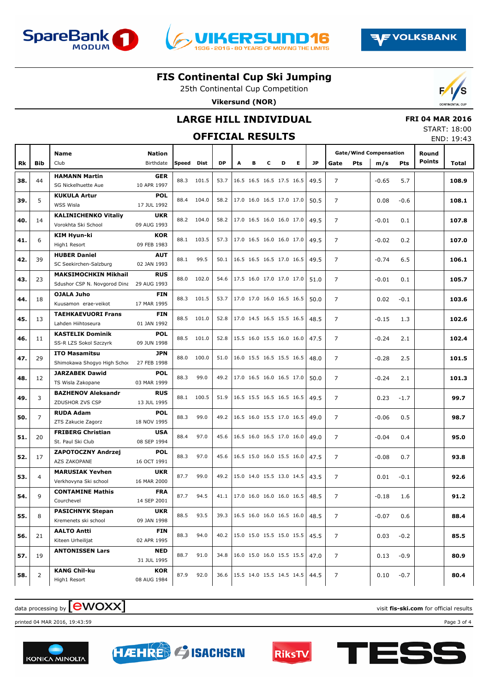





#### **FIS Continental Cup Ski Jumping**

25th Continental Cup Competition **Vikersund (NOR)**

### **LARGE HILL INDIVIDUAL**

### **OFFICIAL RESULTS**

|  | <b>FRI 04 MAR 2016</b> |
|--|------------------------|
|  | START: 18:00           |

|     |                |                                                 |                            |       | <b>OFFICIAL RESULTS</b> |           |                          |   |                          |   |    |           |                |            |                                      |            |                        | END: 19:43 |
|-----|----------------|-------------------------------------------------|----------------------------|-------|-------------------------|-----------|--------------------------|---|--------------------------|---|----|-----------|----------------|------------|--------------------------------------|------------|------------------------|------------|
| Rk  | <b>Bib</b>     | <b>Name</b><br>Club                             | <b>Nation</b><br>Birthdate | Speed | Dist                    | <b>DP</b> | A                        | в | c                        | D | E. | <b>JP</b> | Gate           | <b>Pts</b> | <b>Gate/Wind Compensation</b><br>m/s | <b>Pts</b> | Round<br><b>Points</b> | Total      |
|     |                |                                                 |                            |       |                         |           |                          |   |                          |   |    |           |                |            |                                      |            |                        |            |
| 38. | 44             | <b>HAMANN Martin</b><br>SG Nickelhuette Aue     | GER<br>10 APR 1997         |       | 88.3 101.5              | 53.7      |                          |   | 16.5 16.5 16.5 17.5 16.5 |   |    | 49.5      | $\overline{7}$ |            | $-0.65$                              | 5.7        |                        | 108.9      |
| 39. | 5              | <b>KUKULA Artur</b>                             | <b>POL</b>                 | 88.4  | 104.0                   | 58.2      |                          |   | 17.0 16.0 16.5 17.0 17.0 |   |    | 50.5      | $\overline{7}$ |            | 0.08                                 | $-0.6$     |                        | 108.1      |
|     |                | WSS Wisla<br><b>KALINICHENKO Vitaliy</b>        | 17 JUL 1992<br><b>UKR</b>  |       | 88.2 104.0              |           |                          |   | 17.0 16.5 16.0 16.0 17.0 |   |    |           |                |            |                                      |            |                        |            |
| 40. | 14             | Vorokhta Ski School                             | 09 AUG 1993                |       |                         | 58.2      |                          |   |                          |   |    | 49.5      | $\overline{7}$ |            | $-0.01$                              | 0.1        |                        | 107.8      |
| 41. | 6              | <b>KIM Hyun-ki</b><br>High1 Resort              | <b>KOR</b><br>09 FEB 1983  |       | 88.1 103.5              | 57.3      |                          |   | 17.0 16.5 16.0 16.0 17.0 |   |    | 49.5      | $\overline{7}$ |            | $-0.02$                              | 0.2        |                        | 107.0      |
| 42. | 39             | <b>HUBER Daniel</b><br>SC Seekirchen-Salzburg   | <b>AUT</b><br>02 JAN 1993  | 88.1  | 99.5                    | 50.1      |                          |   | 16.5 16.5 16.5 17.0 16.5 |   |    | 49.5      | $\overline{7}$ |            | $-0.74$                              | 6.5        |                        | 106.1      |
|     |                | <b>MAKSIMOCHKIN Mikhail</b>                     | <b>RUS</b>                 | 88.0  | 102.0                   | 54.6      |                          |   | 17.5 16.0 17.0 17.0 17.0 |   |    | 51.0      | $\overline{7}$ |            |                                      |            |                        |            |
| 43. | 23             | Sdushor CSP N. Novgorod Dina                    | 29 AUG 1993                |       |                         |           |                          |   |                          |   |    |           |                |            | $-0.01$                              | 0.1        |                        | 105.7      |
| 44. | 18             | <b>OJALA Juho</b><br>Kuusamon erae-veikot       | <b>FIN</b><br>17 MAR 1995  |       | 88.3 101.5              | 53.7      |                          |   | 17.0 17.0 16.0 16.5 16.5 |   |    | 50.0      | $\overline{7}$ |            | 0.02                                 | $-0.1$     |                        | 103.6      |
| 45. | 13             | <b>TAEHKAEVUORI Frans</b><br>Lahden Hiihtoseura | <b>FIN</b><br>01 JAN 1992  |       | 88.5 101.0              | 52.8      |                          |   | 17.0 14.5 16.5 15.5 16.5 |   |    | 48.5      | 7              |            | $-0.15$                              | 1.3        |                        | 102.6      |
| 46. | 11             | <b>KASTELIK Dominik</b>                         | <b>POL</b>                 |       | 88.5 101.0              | 52.8      |                          |   | 15.5 16.0 15.5 16.0 16.0 |   |    | 47.5      | $\overline{7}$ |            | $-0.24$                              | 2.1        |                        | 102.4      |
|     |                | SS-R LZS Sokol Szczyrk<br><b>ITO Masamitsu</b>  | 09 JUN 1998<br><b>JPN</b>  |       |                         |           |                          |   |                          |   |    |           |                |            |                                      |            |                        |            |
| 47. | 29             | Shimokawa Shogyo High Schoc                     | 27 FEB 1998                | 88.0  | 100.0                   | 51.0      |                          |   | 16.0 15.5 16.5 15.5 16.5 |   |    | 48.0      | 7              |            | $-0.28$                              | 2.5        |                        | 101.5      |
| 48. | 12             | <b>JARZABEK Dawid</b><br>TS Wisla Zakopane      | <b>POL</b><br>03 MAR 1999  | 88.3  | 99.0                    | 49.2      |                          |   | 17.0 16.5 16.0 16.5 17.0 |   |    | 50.0      | $\overline{7}$ |            | $-0.24$                              | 2.1        |                        | 101.3      |
|     |                | <b>BAZHENOV Aleksandr</b>                       | <b>RUS</b>                 |       |                         |           |                          |   |                          |   |    |           |                |            |                                      |            |                        |            |
| 49. | 3              | ZDUSHOR ZVS CSP                                 | 13 JUL 1995                | 88.1  | 100.5                   | 51.9      |                          |   | 16.5 15.5 16.5 16.5 16.5 |   |    | 49.5      | $\overline{7}$ |            | 0.23                                 | $-1.7$     |                        | 99.7       |
| 50. | 7              | <b>RUDA Adam</b><br>ZTS Zakucie Zagorz          | <b>POL</b><br>18 NOV 1995  | 88.3  | 99.0                    | 49.2      |                          |   | 16.5 16.0 15.5 17.0 16.5 |   |    | 49.0      | $\overline{7}$ |            | $-0.06$                              | 0.5        |                        | 98.7       |
|     |                | <b>FRIBERG Christian</b>                        | <b>USA</b>                 |       |                         |           |                          |   |                          |   |    |           |                |            |                                      |            |                        |            |
| 51. | 20             | St. Paul Ski Club                               | 08 SEP 1994                | 88.4  | 97.0                    | 45.6      |                          |   | 16.5 16.0 16.5 17.0 16.0 |   |    | 49.0      | $\overline{7}$ |            | $-0.04$                              | 0.4        |                        | 95.0       |
| 52. | 17             | <b>ZAPOTOCZNY Andrzej</b><br>AZS ZAKOPANE       | <b>POL</b><br>16 OCT 1991  | 88.3  | 97.0                    | 45.6      |                          |   | 16.5 15.0 16.0 15.5 16.0 |   |    | 47.5      | $\overline{7}$ |            | $-0.08$                              | 0.7        |                        | 93.8       |
| 53. | 4              | <b>MARUSIAK Yevhen</b>                          | <b>UKR</b>                 | 87.7  | 99.0                    | 49.2      | 15.0 14.0 15.5 13.0 14.5 |   |                          |   |    | 43.5      | 7              |            | 0.01                                 | $-0.1$     |                        | 92.6       |
|     |                | Verkhovyna Ski school                           | 16 MAR 2000                |       |                         |           |                          |   |                          |   |    |           |                |            |                                      |            |                        |            |
| 54. | 9              | <b>CONTAMINE Mathis</b><br>Courchevel           | <b>FRA</b><br>14 SEP 2001  | 87.7  | 94.5                    | 41.1      | 17.0 16.0 16.0 16.0 16.5 |   |                          |   |    | 48.5      | $\overline{7}$ |            | $-0.18$                              | 1.6        |                        | 91.2       |
| 55. | 8              | <b>PASICHNYK Stepan</b><br>Kremenets ski school | <b>UKR</b><br>09 JAN 1998  | 88.5  | 93.5                    | 39.3      |                          |   | 16.5 16.0 16.0 16.5 16.0 |   |    | 48.5      | 7              |            | $-0.07$                              | 0.6        |                        | 88.4       |
|     |                | <b>AALTO Antti</b>                              | FIN                        |       |                         |           |                          |   |                          |   |    |           |                |            |                                      |            |                        |            |
| 56. | 21             | Kiteen Urheilijat                               | 02 APR 1995                | 88.3  | 94.0                    | 40.2      |                          |   | 15.0 15.0 15.5 15.0 15.5 |   |    | 45.5      | 7              |            | 0.03                                 | $-0.2$     |                        | 85.5       |
| 57. | 19             | <b>ANTONISSEN Lars</b>                          | NED<br>31 JUL 1995         | 88.7  | 91.0                    | 34.8      |                          |   | 16.0 15.0 16.0 15.5 15.5 |   |    | 47.0      | 7              |            | 0.13                                 | $-0.9$     |                        | 80.9       |
| 58. | $\overline{2}$ | <b>KANG Chil-ku</b><br>High1 Resort             | KOR<br>08 AUG 1984         | 87.9  | 92.0                    | 36.6      |                          |   | 15.5 14.0 15.5 14.5 14.5 |   |    | 44.5      | 7              |            | 0.10                                 | $-0.7$     |                        | 80.4       |

## data processing by **CWOXX** and  $\blacksquare$  and  $\blacksquare$  and  $\blacksquare$  and  $\blacksquare$  and  $\blacksquare$  and  $\blacksquare$  and  $\blacksquare$  and  $\blacksquare$  and  $\blacksquare$  and  $\blacksquare$  and  $\blacksquare$  and  $\blacksquare$  and  $\blacksquare$  and  $\blacksquare$  and  $\blacksquare$  and  $\blacksquare$  and  $\blacksquare$  and  $\blacks$

printed 04 MAR 2016, 19:43:59 Page 3 of 4